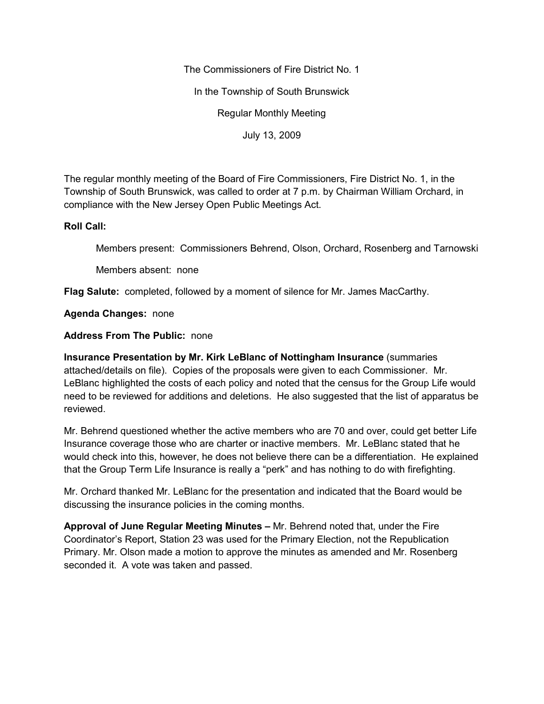The Commissioners of Fire District No. 1

In the Township of South Brunswick

Regular Monthly Meeting

July 13, 2009

The regular monthly meeting of the Board of Fire Commissioners, Fire District No. 1, in the Township of South Brunswick, was called to order at 7 p.m. by Chairman William Orchard, in compliance with the New Jersey Open Public Meetings Act.

## **Roll Call:**

Members present: Commissioners Behrend, Olson, Orchard, Rosenberg and Tarnowski

Members absent: none

**Flag Salute:** completed, followed by a moment of silence for Mr. James MacCarthy.

**Agenda Changes:** none

## **Address From The Public:** none

**Insurance Presentation by Mr. Kirk LeBlanc of Nottingham Insurance** (summaries attached/details on file). Copies of the proposals were given to each Commissioner. Mr. LeBlanc highlighted the costs of each policy and noted that the census for the Group Life would need to be reviewed for additions and deletions. He also suggested that the list of apparatus be reviewed.

Mr. Behrend questioned whether the active members who are 70 and over, could get better Life Insurance coverage those who are charter or inactive members. Mr. LeBlanc stated that he would check into this, however, he does not believe there can be a differentiation. He explained that the Group Term Life Insurance is really a "perk" and has nothing to do with firefighting.

Mr. Orchard thanked Mr. LeBlanc for the presentation and indicated that the Board would be discussing the insurance policies in the coming months.

**Approval of June Regular Meeting Minutes –** Mr. Behrend noted that, under the Fire Coordinator's Report, Station 23 was used for the Primary Election, not the Republication Primary. Mr. Olson made a motion to approve the minutes as amended and Mr. Rosenberg seconded it. A vote was taken and passed.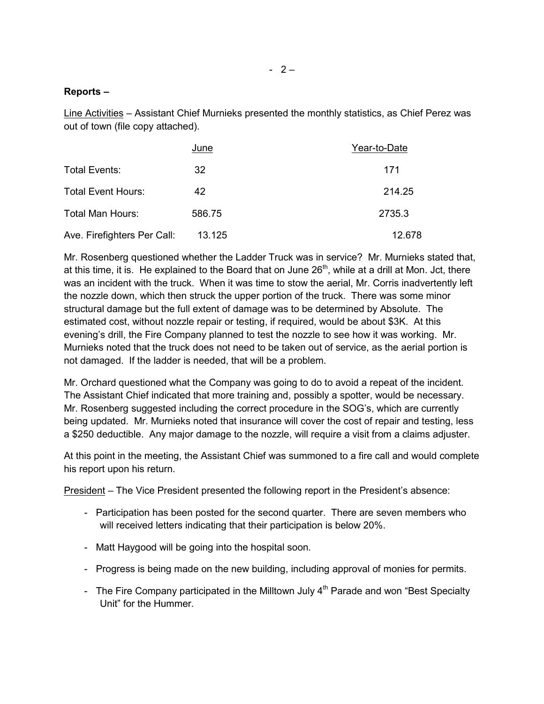## **Reports –**

Line Activities – Assistant Chief Murnieks presented the monthly statistics, as Chief Perez was out of town (file copy attached).

|                             | June   | Year-to-Date |
|-----------------------------|--------|--------------|
| Total Events:               | 32     | 171          |
| <b>Total Event Hours:</b>   | 42     | 214.25       |
| Total Man Hours:            | 586.75 | 2735.3       |
| Ave. Firefighters Per Call: | 13.125 | 12.678       |

Mr. Rosenberg questioned whether the Ladder Truck was in service? Mr. Murnieks stated that, at this time, it is. He explained to the Board that on June  $26<sup>th</sup>$ , while at a drill at Mon. Jct, there was an incident with the truck. When it was time to stow the aerial, Mr. Corris inadvertently left the nozzle down, which then struck the upper portion of the truck. There was some minor structural damage but the full extent of damage was to be determined by Absolute. The estimated cost, without nozzle repair or testing, if required, would be about \$3K. At this evening's drill, the Fire Company planned to test the nozzle to see how it was working. Mr. Murnieks noted that the truck does not need to be taken out of service, as the aerial portion is not damaged. If the ladder is needed, that will be a problem.

Mr. Orchard questioned what the Company was going to do to avoid a repeat of the incident. The Assistant Chief indicated that more training and, possibly a spotter, would be necessary. Mr. Rosenberg suggested including the correct procedure in the SOG's, which are currently being updated. Mr. Murnieks noted that insurance will cover the cost of repair and testing, less a \$250 deductible. Any major damage to the nozzle, will require a visit from a claims adjuster.

At this point in the meeting, the Assistant Chief was summoned to a fire call and would complete his report upon his return.

President – The Vice President presented the following report in the President's absence:

- *-* Participation has been posted for the second quarter. There are seven members who will received letters indicating that their participation is below 20%.
- *-* Matt Haygood will be going into the hospital soon.
- *-* Progress is being made on the new building, including approval of monies for permits.
- The Fire Company participated in the Milltown July 4<sup>th</sup> Parade and won "Best Specialty Unit" for the Hummer.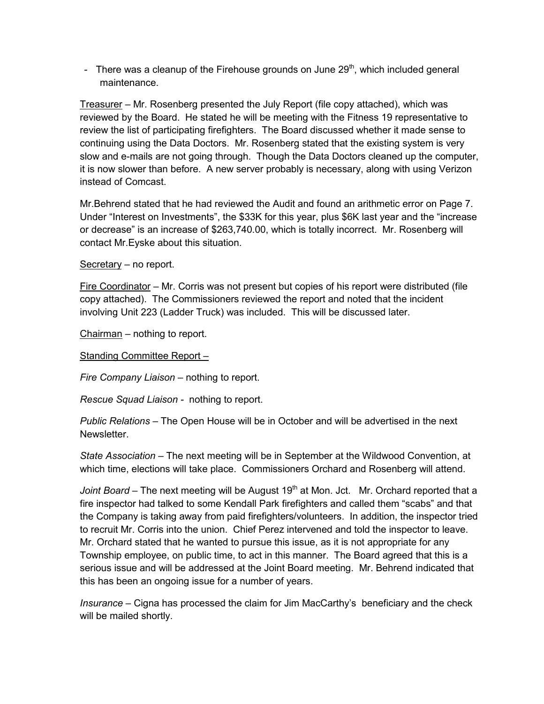- There was a cleanup of the Firehouse grounds on June 29<sup>th</sup>, which included general maintenance.

Treasurer – Mr. Rosenberg presented the July Report (file copy attached), which was reviewed by the Board. He stated he will be meeting with the Fitness 19 representative to review the list of participating firefighters. The Board discussed whether it made sense to continuing using the Data Doctors. Mr. Rosenberg stated that the existing system is very slow and e-mails are not going through. Though the Data Doctors cleaned up the computer, it is now slower than before. A new server probably is necessary, along with using Verizon instead of Comcast.

Mr.Behrend stated that he had reviewed the Audit and found an arithmetic error on Page 7. Under "Interest on Investments", the \$33K for this year, plus \$6K last year and the "increase or decrease" is an increase of \$263,740.00, which is totally incorrect. Mr. Rosenberg will contact Mr.Eyske about this situation.

Secretary – no report.

Fire Coordinator – Mr. Corris was not present but copies of his report were distributed (file copy attached). The Commissioners reviewed the report and noted that the incident involving Unit 223 (Ladder Truck) was included. This will be discussed later.

Chairman – nothing to report.

Standing Committee Report –

*Fire Company Liaison –* nothing to report.

*Rescue Squad Liaison -* nothing to report.

*Public Relations –* The Open House will be in October and will be advertised in the next Newsletter.

*State Association –* The next meeting will be in September at the Wildwood Convention, at which time, elections will take place. Commissioners Orchard and Rosenberg will attend.

*Joint Board* – The next meeting will be August 19<sup>th</sup> at Mon. Jct. Mr. Orchard reported that a fire inspector had talked to some Kendall Park firefighters and called them "scabs" and that the Company is taking away from paid firefighters/volunteers. In addition, the inspector tried to recruit Mr. Corris into the union. Chief Perez intervened and told the inspector to leave. Mr. Orchard stated that he wanted to pursue this issue, as it is not appropriate for any Township employee, on public time, to act in this manner. The Board agreed that this is a serious issue and will be addressed at the Joint Board meeting. Mr. Behrend indicated that this has been an ongoing issue for a number of years.

*Insurance –* Cigna has processed the claim for Jim MacCarthy's beneficiary and the check will be mailed shortly.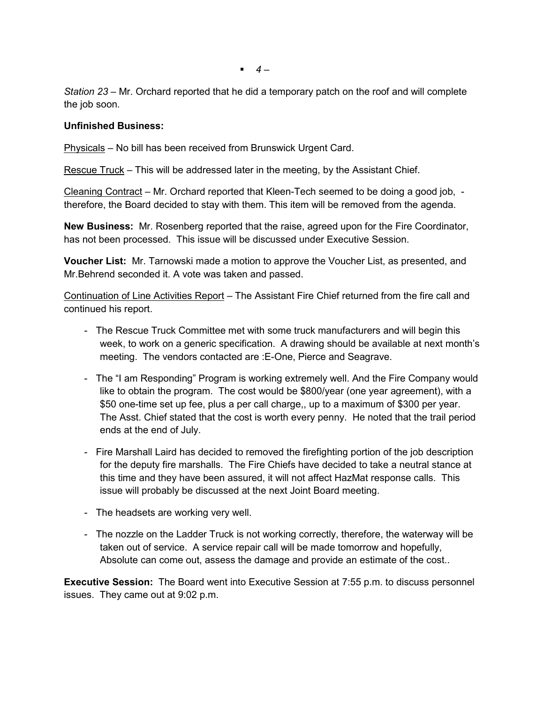*4 –*

*Station 23 –* Mr. Orchard reported that he did a temporary patch on the roof and will complete the job soon.

## **Unfinished Business:**

Physicals – No bill has been received from Brunswick Urgent Card.

Rescue Truck – This will be addressed later in the meeting, by the Assistant Chief.

Cleaning Contract – Mr. Orchard reported that Kleen-Tech seemed to be doing a good job, therefore, the Board decided to stay with them. This item will be removed from the agenda.

**New Business:** Mr. Rosenberg reported that the raise, agreed upon for the Fire Coordinator, has not been processed. This issue will be discussed under Executive Session.

**Voucher List:** Mr. Tarnowski made a motion to approve the Voucher List, as presented, and Mr.Behrend seconded it. A vote was taken and passed.

Continuation of Line Activities Report – The Assistant Fire Chief returned from the fire call and continued his report.

- *-* The Rescue Truck Committee met with some truck manufacturers and will begin this week, to work on a generic specification. A drawing should be available at next month's meeting. The vendors contacted are :E-One, Pierce and Seagrave.
- *-* The "I am Responding" Program is working extremely well. And the Fire Company would like to obtain the program. The cost would be \$800/year (one year agreement), with a \$50 one-time set up fee, plus a per call charge,, up to a maximum of \$300 per year. The Asst. Chief stated that the cost is worth every penny. He noted that the trail period ends at the end of July.
- *-* Fire Marshall Laird has decided to removed the firefighting portion of the job description for the deputy fire marshalls. The Fire Chiefs have decided to take a neutral stance at this time and they have been assured, it will not affect HazMat response calls. This issue will probably be discussed at the next Joint Board meeting.
- *-* The headsets are working very well.
- *-* The nozzle on the Ladder Truck is not working correctly, therefore, the waterway will be taken out of service. A service repair call will be made tomorrow and hopefully, Absolute can come out, assess the damage and provide an estimate of the cost..

**Executive Session:** The Board went into Executive Session at 7:55 p.m. to discuss personnel issues. They came out at 9:02 p.m.